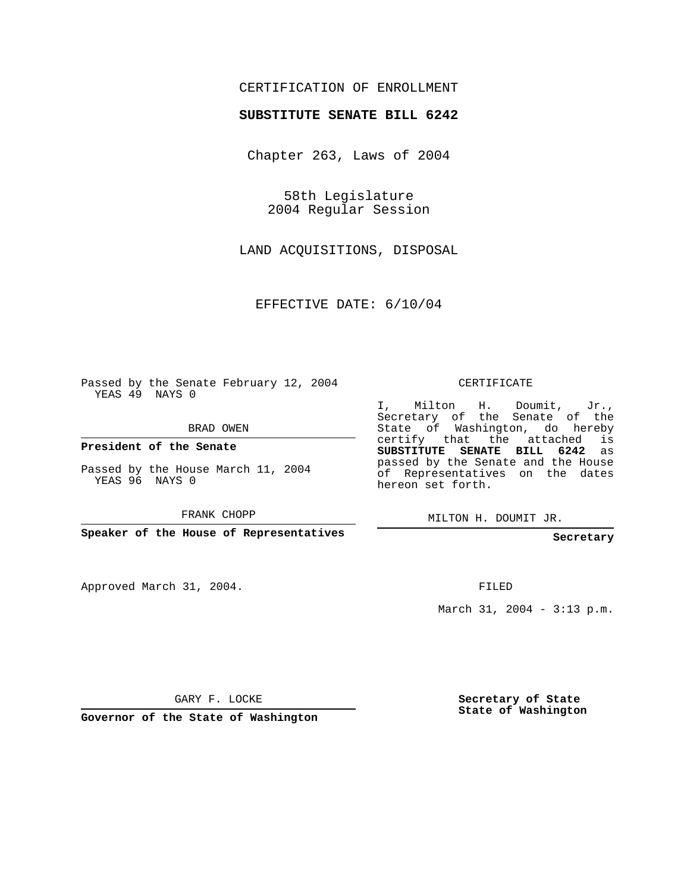## CERTIFICATION OF ENROLLMENT

## **SUBSTITUTE SENATE BILL 6242**

Chapter 263, Laws of 2004

58th Legislature 2004 Regular Session

LAND ACQUISITIONS, DISPOSAL

EFFECTIVE DATE: 6/10/04

Passed by the Senate February 12, 2004 YEAS 49 NAYS 0

BRAD OWEN

**President of the Senate**

Passed by the House March 11, 2004 YEAS 96 NAYS 0

FRANK CHOPP

**Speaker of the House of Representatives**

Approved March 31, 2004.

CERTIFICATE

I, Milton H. Doumit, Jr., Secretary of the Senate of the State of Washington, do hereby certify that the attached is **SUBSTITUTE SENATE BILL 6242** as passed by the Senate and the House of Representatives on the dates hereon set forth.

MILTON H. DOUMIT JR.

**Secretary**

FILED

March 31, 2004 - 3:13 p.m.

GARY F. LOCKE

**Governor of the State of Washington**

**Secretary of State State of Washington**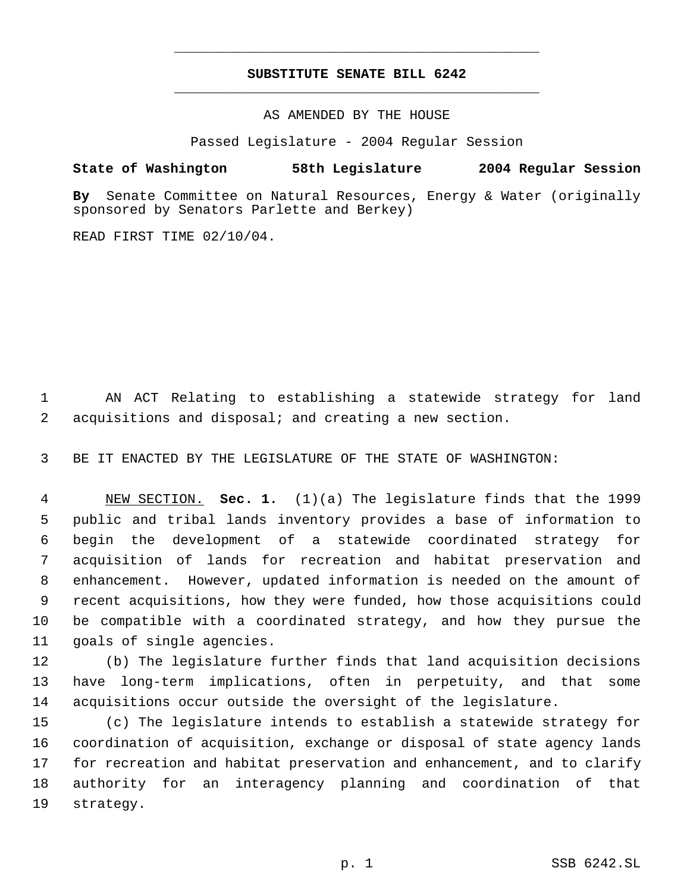## **SUBSTITUTE SENATE BILL 6242** \_\_\_\_\_\_\_\_\_\_\_\_\_\_\_\_\_\_\_\_\_\_\_\_\_\_\_\_\_\_\_\_\_\_\_\_\_\_\_\_\_\_\_\_\_

\_\_\_\_\_\_\_\_\_\_\_\_\_\_\_\_\_\_\_\_\_\_\_\_\_\_\_\_\_\_\_\_\_\_\_\_\_\_\_\_\_\_\_\_\_

AS AMENDED BY THE HOUSE

Passed Legislature - 2004 Regular Session

## **State of Washington 58th Legislature 2004 Regular Session**

**By** Senate Committee on Natural Resources, Energy & Water (originally sponsored by Senators Parlette and Berkey)

READ FIRST TIME 02/10/04.

 AN ACT Relating to establishing a statewide strategy for land acquisitions and disposal; and creating a new section.

BE IT ENACTED BY THE LEGISLATURE OF THE STATE OF WASHINGTON:

 NEW SECTION. **Sec. 1.** (1)(a) The legislature finds that the 1999 public and tribal lands inventory provides a base of information to begin the development of a statewide coordinated strategy for acquisition of lands for recreation and habitat preservation and enhancement. However, updated information is needed on the amount of recent acquisitions, how they were funded, how those acquisitions could be compatible with a coordinated strategy, and how they pursue the goals of single agencies.

 (b) The legislature further finds that land acquisition decisions have long-term implications, often in perpetuity, and that some acquisitions occur outside the oversight of the legislature.

 (c) The legislature intends to establish a statewide strategy for coordination of acquisition, exchange or disposal of state agency lands for recreation and habitat preservation and enhancement, and to clarify authority for an interagency planning and coordination of that strategy.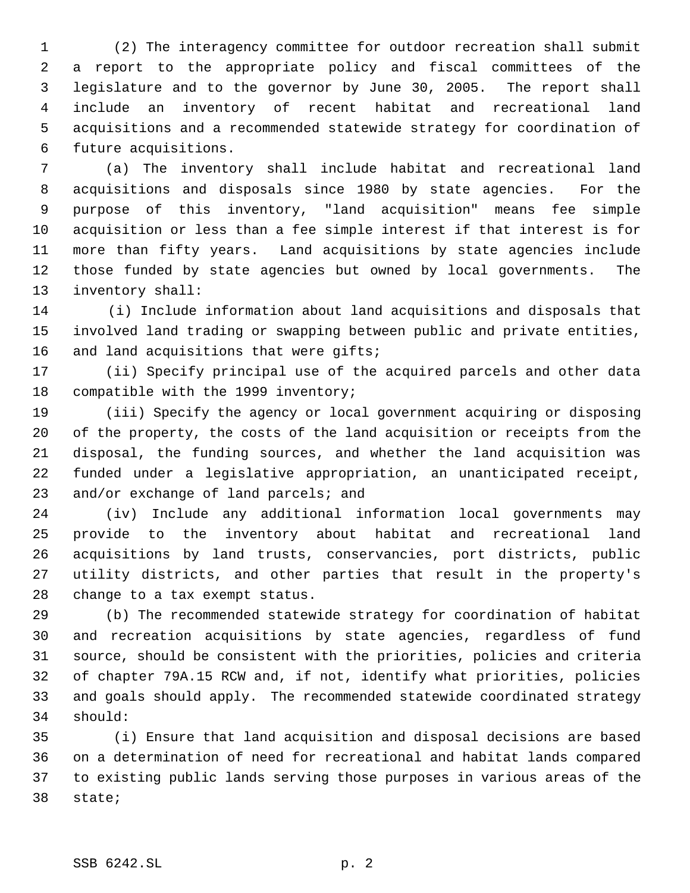1 (2) The interagency committee for outdoor recreation shall submit a report to the appropriate policy and fiscal committees of the legislature and to the governor by June 30, 2005. The report shall include an inventory of recent habitat and recreational land acquisitions and a recommended statewide strategy for coordination of future acquisitions.

 (a) The inventory shall include habitat and recreational land acquisitions and disposals since 1980 by state agencies. For the purpose of this inventory, "land acquisition" means fee simple acquisition or less than a fee simple interest if that interest is for more than fifty years. Land acquisitions by state agencies include those funded by state agencies but owned by local governments. The inventory shall:

14 (i) Include information about land acquisitions and disposals that involved land trading or swapping between public and private entities, 16 and land acquisitions that were gifts;

 (ii) Specify principal use of the acquired parcels and other data compatible with the 1999 inventory;

 (iii) Specify the agency or local government acquiring or disposing of the property, the costs of the land acquisition or receipts from the disposal, the funding sources, and whether the land acquisition was funded under a legislative appropriation, an unanticipated receipt, and/or exchange of land parcels; and

 (iv) Include any additional information local governments may provide to the inventory about habitat and recreational land acquisitions by land trusts, conservancies, port districts, public utility districts, and other parties that result in the property's change to a tax exempt status.

 (b) The recommended statewide strategy for coordination of habitat and recreation acquisitions by state agencies, regardless of fund source, should be consistent with the priorities, policies and criteria of chapter 79A.15 RCW and, if not, identify what priorities, policies and goals should apply. The recommended statewide coordinated strategy should:

35 (i) Ensure that land acquisition and disposal decisions are based on a determination of need for recreational and habitat lands compared to existing public lands serving those purposes in various areas of the state;